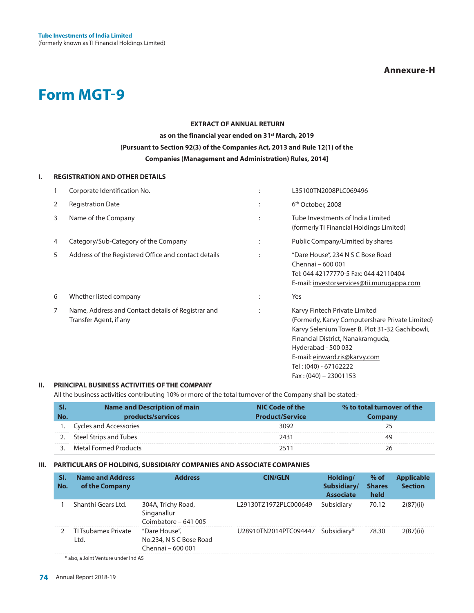

# **EXTRACT OF ANNUAL RETURN as on the financial year ended on 31st March, 2019 [Pursuant to Section 92(3) of the Companies Act, 2013 and Rule 12(1) of the Companies (Management and Administration) Rules, 2014]**

#### **I. REGISTRATION AND OTHER DETAILS**

|   | Corporate Identification No.                                                 |   | L35100TN2008PLC069496                                                                                                                                                                                                                                                               |
|---|------------------------------------------------------------------------------|---|-------------------------------------------------------------------------------------------------------------------------------------------------------------------------------------------------------------------------------------------------------------------------------------|
| 2 | <b>Registration Date</b>                                                     |   | 6 <sup>th</sup> October, 2008                                                                                                                                                                                                                                                       |
| 3 | Name of the Company                                                          |   | Tube Investments of India Limited<br>(formerly TI Financial Holdings Limited)                                                                                                                                                                                                       |
| 4 | Category/Sub-Category of the Company                                         | ÷ | Public Company/Limited by shares                                                                                                                                                                                                                                                    |
| 5 | Address of the Registered Office and contact details                         |   | "Dare House", 234 N S C Bose Road<br>Chennai - 600 001<br>Tel: 044 42177770-5 Fax: 044 42110404<br>E-mail: investorservices@tii.murugappa.com                                                                                                                                       |
| 6 | Whether listed company                                                       | ٠ | Yes                                                                                                                                                                                                                                                                                 |
| 7 | Name, Address and Contact details of Registrar and<br>Transfer Agent, if any |   | Karvy Fintech Private Limited<br>(Formerly, Karvy Computershare Private Limited)<br>Karvy Selenium Tower B, Plot 31-32 Gachibowli,<br>Financial District, Nanakramguda,<br>Hyderabad - 500 032<br>E-mail: einward.ris@karvy.com<br>Tel: (040) - 67162222<br>$Fax: (040) - 23001153$ |

### **II. PRINCIPAL BUSINESS ACTIVITIES OF THE COMPANY**

All the business activities contributing 10% or more of the total turnover of the Company shall be stated:-

| SI. | <b>Name and Description of main</b> | NIC Code of the        | % to total turnover of the |
|-----|-------------------------------------|------------------------|----------------------------|
| No. | products/services                   | <b>Product/Service</b> | Company                    |
|     | Cycles and Accessories              | 3092                   |                            |
|     | Steel Strips and Tubes              | 2431                   | 49                         |
|     | Metal Formed Products               |                        | 26                         |

#### **III. PARTICULARS OF HOLDING, SUBSIDIARY COMPANIES AND ASSOCIATE COMPANIES**

| SI.<br>No. | <b>Name and Address</b><br>of the Company | <b>Address</b>                                                | <b>CIN/GLN</b>        | Holding/<br>Subsidiary/<br><b>Associate</b> | $%$ of<br><b>Shares</b><br>held | <b>Applicable</b><br><b>Section</b> |
|------------|-------------------------------------------|---------------------------------------------------------------|-----------------------|---------------------------------------------|---------------------------------|-------------------------------------|
|            | Shanthi Gears Ltd.                        | 304A, Trichy Road,<br>Singanallur<br>Coimbatore - 641 005     | L29130TZ1972PLC000649 | Subsidiary                                  | 70.12                           | 2(87)(ii)                           |
|            | TJ Tsubamex Private<br>Ltd.               | "Dare House",<br>No.234, N S C Bose Road<br>Chennai - 600 001 | U28910TN2014PTC094447 | Subsidiary*                                 | 78.30                           | 2(87)(ii)                           |

\* also, a Joint Venture under Ind AS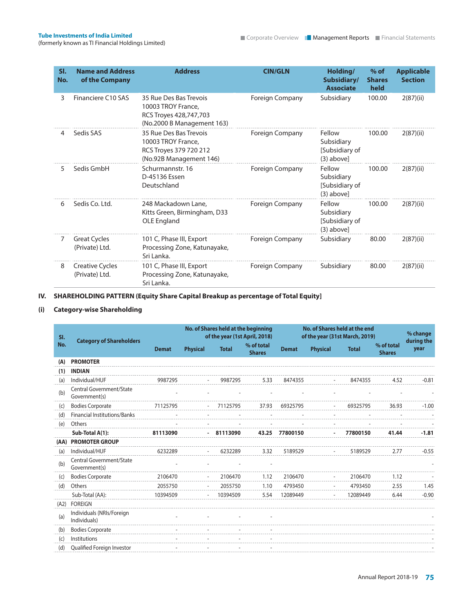| SI.<br>No. | <b>Name and Address</b><br>of the Company | <b>Address</b>                                                                                       | <b>CIN/GLN</b>         | Holding/<br>Subsidiary/<br><b>Associate</b>            | $%$ of<br><b>Shares</b><br>held | <b>Applicable</b><br><b>Section</b> |
|------------|-------------------------------------------|------------------------------------------------------------------------------------------------------|------------------------|--------------------------------------------------------|---------------------------------|-------------------------------------|
| 3          | Financiere C10 SAS                        | 35 Rue Des Bas Trevois<br>10003 TROY France.<br>RCS Troyes 428,747,703<br>(No.2000 B Management 163) | <b>Foreign Company</b> | Subsidiary                                             | 100.00                          | 2(87)(ii)                           |
| 4          | Sedis SAS                                 | 35 Rue Des Bas Trevois<br>10003 TROY France,<br>RCS Troyes 379 720 212<br>(No.92B Management 146)    | Foreign Company        | Fellow<br>Subsidiary<br>[Subsidiary of<br>$(3)$ above] | 100.00                          | 2(87)(ii)                           |
| 5.         | Sedis GmbH                                | Schurmannstr, 16<br>D-45136 Essen<br>Deutschland                                                     | <b>Foreign Company</b> | Fellow<br>Subsidiary<br>[Subsidiary of<br>$(3)$ above] | 100.00                          | 2(87)(ii)                           |
| 6          | Sedis Co. Ltd.                            | 248 Mackadown Lane,<br>Kitts Green, Birmingham, D33<br>OLE England                                   | <b>Foreign Company</b> | Fellow<br>Subsidiary<br>[Subsidiary of<br>$(3)$ above] | 100.00                          | 2(87)(ii)                           |
| 7          | <b>Great Cycles</b><br>(Private) Ltd.     | 101 C, Phase III, Export<br>Processing Zone, Katunayake,<br>Sri Lanka.                               | <b>Foreign Company</b> | Subsidiary                                             | 80.00                           | 2(87)(ii)                           |
| 8          | <b>Creative Cycles</b><br>(Private) Ltd.  | 101 C, Phase III, Export<br>Processing Zone, Katunayake,<br>Sri Lanka.                               | Foreign Company        | Subsidiary                                             | 80.00                           | 2(87)(ii)                           |

# **IV. SHAREHOLDING PATTERN (Equity Share Capital Breakup as percentage of Total Equity]**

# **(i) Category-wise Shareholding**

| No. of Shares held at the beginning<br>SI.<br><b>Category of Shareholders</b> |                                           |              |                          | No. of Shares held at the end<br>of the year (1st April, 2018)<br>of the year (31st March, 2019) |                             |                |                 | % change<br>during the |                             |         |
|-------------------------------------------------------------------------------|-------------------------------------------|--------------|--------------------------|--------------------------------------------------------------------------------------------------|-----------------------------|----------------|-----------------|------------------------|-----------------------------|---------|
| No.                                                                           |                                           | <b>Demat</b> | <b>Physical</b>          | <b>Total</b>                                                                                     | % of total<br><b>Shares</b> | <b>Demat</b>   | <b>Physical</b> | <b>Total</b>           | % of total<br><b>Shares</b> | year    |
| (A)                                                                           | <b>PROMOTER</b>                           |              |                          |                                                                                                  |                             |                |                 |                        |                             |         |
| (1)                                                                           | <b>INDIAN</b>                             |              |                          |                                                                                                  |                             |                |                 |                        |                             |         |
| (a)                                                                           | Individual/HUF                            | 9987295      |                          | 9987295                                                                                          | 5.33                        | 8474355        |                 | 8474355                | 4.52                        | $-0.81$ |
| (b)                                                                           | Central Government/State<br>Government(s) |              |                          |                                                                                                  |                             |                |                 |                        |                             |         |
| (c)                                                                           | <b>Bodies Corporate</b>                   | 71125795     |                          | 71125795                                                                                         | 37.93                       | 69325795       |                 | 69325795               | 36.93                       | $-1.00$ |
| (d)                                                                           | Financial Institutions/Banks              |              |                          |                                                                                                  |                             |                |                 |                        |                             |         |
| (e)                                                                           | Others                                    |              |                          |                                                                                                  |                             |                |                 |                        |                             |         |
|                                                                               | Sub-Total A(1):                           | 81113090     |                          | $-81113090$                                                                                      |                             | 43.25 77800150 |                 | 77800150               | 41.44                       | $-1.81$ |
|                                                                               | (AA) PROMOTER GROUP                       |              |                          |                                                                                                  |                             |                |                 |                        |                             |         |
| (a)                                                                           | Individual/HUF                            | 6232289      |                          | 6232289                                                                                          | 3.32                        | 5189529        |                 | 5189529                | 2.77                        | $-0.55$ |
| (b)                                                                           | Central Government/State<br>Government(s) |              |                          |                                                                                                  |                             |                |                 |                        |                             |         |
| (c)                                                                           | <b>Bodies Corporate</b>                   | 2106470      |                          | 2106470                                                                                          | 1.12                        | 2106470        |                 | 2106470                | 1.12                        |         |
| (d)                                                                           | Others                                    | 2055750      |                          | 2055750                                                                                          | 1.10                        | 4793450        |                 | 4793450                | 2.55                        | 1.45    |
|                                                                               | Sub-Total (AA):                           | 10394509     | $\overline{\phantom{a}}$ | 10394509                                                                                         | 5.54                        | 12089449       |                 | 12089449               | 6.44                        | $-0.90$ |
| (A2)                                                                          | <b>FOREIGN</b>                            |              |                          |                                                                                                  |                             |                |                 |                        |                             |         |
| (a)                                                                           | Individuals (NRIs/Foreign<br>Individuals) |              |                          |                                                                                                  |                             |                |                 |                        |                             |         |
| (b)                                                                           | <b>Bodies Corporate</b>                   |              |                          |                                                                                                  |                             |                |                 |                        |                             |         |
| (c)                                                                           | Institutions                              |              |                          |                                                                                                  |                             |                |                 |                        |                             |         |
| (d)                                                                           | Qualified Foreign Investor                |              |                          |                                                                                                  |                             |                |                 |                        |                             |         |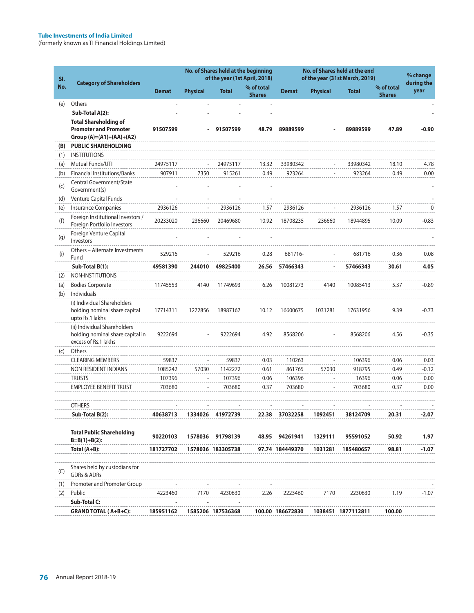| SI. | <b>Category of Shareholders</b>                                                            |              |                 | No. of Shares held at the beginning<br>of the year (1st April, 2018) |                             | No. of Shares held at the end<br>of the year (31st March, 2019) |                 |                    |                             | % change<br>during the |
|-----|--------------------------------------------------------------------------------------------|--------------|-----------------|----------------------------------------------------------------------|-----------------------------|-----------------------------------------------------------------|-----------------|--------------------|-----------------------------|------------------------|
| No. |                                                                                            | <b>Demat</b> | <b>Physical</b> | <b>Total</b>                                                         | % of total<br><b>Shares</b> | <b>Demat</b>                                                    | <b>Physical</b> | <b>Total</b>       | % of total<br><b>Shares</b> | year                   |
| (e) | Others                                                                                     |              |                 |                                                                      |                             |                                                                 |                 |                    |                             |                        |
|     | Sub-Total A(2):                                                                            |              |                 |                                                                      |                             |                                                                 |                 |                    |                             |                        |
|     | <b>Total Shareholding of</b><br><b>Promoter and Promoter</b><br>Group $(A)=(A1)+(AA)+(A2)$ | 91507599     | $\blacksquare$  | 91507599                                                             | 48.79                       | 89889599                                                        |                 | 89889599           | 47.89                       | $-0.90$                |
| (B) | <b>PUBLIC SHAREHOLDING</b>                                                                 |              |                 |                                                                      |                             |                                                                 |                 |                    |                             |                        |
| (1) | <b>INSTITUTIONS</b>                                                                        |              |                 |                                                                      |                             |                                                                 |                 |                    |                             |                        |
| (a) | Mutual Funds/UTI                                                                           | 24975117     |                 | 24975117                                                             | 13.32                       | 33980342                                                        |                 | 33980342           | 18.10                       | 4.78                   |
| (b) | <b>Financial Institutions/Banks</b>                                                        | 907911       | 7350            | 915261                                                               | 0.49                        | 923264                                                          |                 | 923264             | 0.49                        | 0.00                   |
| (c) | Central Government/State<br>Government(s)                                                  |              |                 |                                                                      |                             |                                                                 |                 |                    |                             |                        |
| (d) | Venture Capital Funds                                                                      |              |                 |                                                                      |                             |                                                                 |                 |                    |                             |                        |
| (e) | <b>Insurance Companies</b>                                                                 | 2936126      |                 | 2936126                                                              | 1.57                        | 2936126                                                         |                 | 2936126            | 1.57                        | 0                      |
| (f) | Foreign Institutional Investors /<br>Foreign Portfolio Investors                           | 20233020     | 236660          | 20469680                                                             | 10.92                       | 18708235                                                        | 236660          | 18944895           | 10.09                       | $-0.83$                |
| (g) | Foreign Venture Capital<br>Investors                                                       |              |                 |                                                                      |                             |                                                                 |                 |                    |                             |                        |
| (i) | Others - Alternate Investments<br>Fund                                                     | 529216       |                 | 529216                                                               | 0.28                        | 681716-                                                         |                 | 681716             | 0.36                        | 0.08                   |
|     | Sub-Total B(1):                                                                            | 49581390     | 244010          | 49825400                                                             | 26.56                       | 57466343                                                        |                 | 57466343           | 30.61                       | 4.05                   |
| (2) | NON-INSTITUTIONS                                                                           |              |                 |                                                                      |                             |                                                                 |                 |                    |                             |                        |
| (a) | <b>Bodies Corporate</b>                                                                    | 11745553     | 4140            | 11749693                                                             | 6.26                        | 10081273                                                        | 4140            | 10085413           | 5.37                        | $-0.89$                |
| (b) | Individuals                                                                                |              |                 |                                                                      |                             |                                                                 |                 |                    |                             |                        |
|     | (i) Individual Shareholders<br>holding nominal share capital<br>upto Rs.1 lakhs            | 17714311     | 1272856         | 18987167                                                             | 10.12                       | 16600675                                                        | 1031281         | 17631956           | 9.39                        | $-0.73$                |
|     | (ii) Individual Shareholders<br>holding nominal share capital in<br>excess of Rs.1 lakhs   | 9222694      |                 | 9222694                                                              | 4.92                        | 8568206                                                         |                 | 8568206            | 4.56                        | $-0.35$                |
| (c) | Others                                                                                     |              |                 |                                                                      |                             |                                                                 |                 |                    |                             |                        |
|     | <b>CLEARING MEMBERS</b>                                                                    | 59837        |                 | 59837                                                                | 0.03                        | 110263                                                          |                 | 106396             | 0.06                        | 0.03                   |
|     | NON RESIDENT INDIANS                                                                       | 1085242      | 57030           | 1142272                                                              | 0.61                        | 861765                                                          | 57030           | 918795             | 0.49                        | $-0.12$                |
|     | <b>TRUSTS</b>                                                                              | 107396       |                 | 107396                                                               | 0.06                        | 106396                                                          |                 | 16396              | 0.06                        | 0.00                   |
|     | <b>EMPLOYEE BENEFIT TRUST</b>                                                              | 703680       |                 | 703680                                                               | 0.37                        | 703680                                                          |                 | 703680             | 0.37                        | 0.00                   |
|     | <b>OTHERS</b>                                                                              |              |                 |                                                                      |                             |                                                                 |                 |                    |                             |                        |
|     | Sub-Total B(2):                                                                            | 40638713     | 1334026         |                                                                      | 22.38                       | 37032258                                                        | 1092451         | 38124709           | 20.31                       | -2.07                  |
|     | <b>Total Public Shareholding</b><br>$B=B(1)+B(2)$ :                                        | 90220103     |                 | 1578036 91798139                                                     |                             | 48.95 94261941                                                  | 1329111         | 95591052           | 50.92                       | 1.97                   |
|     | Total (A+B):                                                                               | 181727702    |                 | 1578036 183305738                                                    |                             | 97.74 184449370                                                 | 1031281         | 185480657          | 98.81                       | $-1.07$                |
| (C) | Shares held by custodians for<br><b>GDRs &amp; ADRs</b>                                    |              |                 |                                                                      |                             |                                                                 |                 |                    |                             |                        |
| (1) | Promoter and Promoter Group                                                                |              |                 |                                                                      |                             |                                                                 |                 |                    |                             |                        |
| (2) | Public                                                                                     | 4223460      | 7170            | 4230630                                                              | 2.26                        | 2223460                                                         | 7170            | 2230630            | 1.19                        | $-1.07$                |
|     | Sub-Total C:                                                                               |              |                 |                                                                      |                             |                                                                 |                 |                    |                             |                        |
|     | <b>GRAND TOTAL (A+B+C):</b>                                                                | 185951162    |                 | 1585206 187536368                                                    |                             | 100.00 186672830                                                |                 | 1038451 1877112811 | 100.00                      |                        |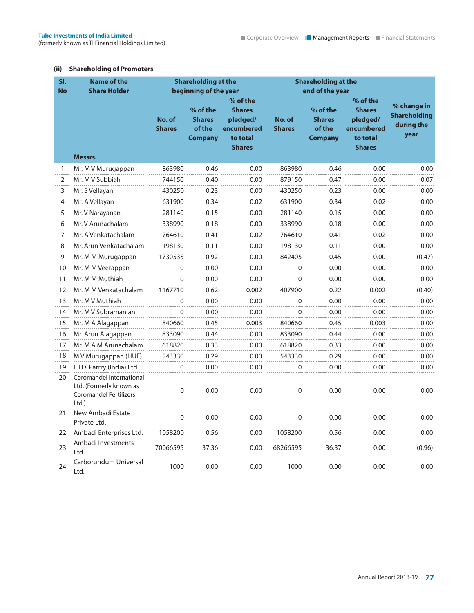### **(ii) Shareholding of Promoters**

| SI.          | <b>Name of the</b>                                                                           |                         | <b>Shareholding at the</b>                            |                                                                                  |                         | <b>Shareholding at the</b>                            |                                                                                  |                                                          |  |  |  |
|--------------|----------------------------------------------------------------------------------------------|-------------------------|-------------------------------------------------------|----------------------------------------------------------------------------------|-------------------------|-------------------------------------------------------|----------------------------------------------------------------------------------|----------------------------------------------------------|--|--|--|
| <b>No</b>    | <b>Share Holder</b>                                                                          |                         | beginning of the year                                 |                                                                                  |                         | end of the year                                       |                                                                                  |                                                          |  |  |  |
|              |                                                                                              | No. of<br><b>Shares</b> | % of the<br><b>Shares</b><br>of the<br><b>Company</b> | % of the<br><b>Shares</b><br>pledged/<br>encumbered<br>to total<br><b>Shares</b> | No. of<br><b>Shares</b> | % of the<br><b>Shares</b><br>of the<br><b>Company</b> | % of the<br><b>Shares</b><br>pledged/<br>encumbered<br>to total<br><b>Shares</b> | % change in<br><b>Shareholding</b><br>during the<br>year |  |  |  |
|              | Messrs.                                                                                      |                         |                                                       |                                                                                  |                         |                                                       |                                                                                  |                                                          |  |  |  |
| $\mathbf{1}$ | Mr. M V Murugappan                                                                           | 863980                  | 0.46                                                  | 0.00                                                                             | 863980                  | 0.46                                                  | 0.00                                                                             | 0.00                                                     |  |  |  |
| 2            | Mr. M V Subbiah                                                                              | 744150                  | 0.40                                                  | 0.00                                                                             | 879150                  | 0.47                                                  | 0.00                                                                             | 0.07                                                     |  |  |  |
| 3            | Mr. S Vellayan                                                                               | 430250                  | 0.23                                                  | 0.00                                                                             | 430250                  | 0.23                                                  | 0.00                                                                             | 0.00                                                     |  |  |  |
| 4            | Mr. A Vellayan                                                                               | 631900                  | 0.34                                                  | 0.02                                                                             | 631900                  | 0.34                                                  | 0.02                                                                             | 0.00                                                     |  |  |  |
| 5            | Mr. V Narayanan                                                                              | 281140                  | 0.15                                                  | 0.00                                                                             | 281140                  | 0.15                                                  | 0.00                                                                             | 0.00                                                     |  |  |  |
| 6            | Mr. V Arunachalam                                                                            | 338990                  | 0.18                                                  | 0.00                                                                             | 338990                  | 0.18                                                  | 0.00                                                                             | 0.00                                                     |  |  |  |
| 7            | Mr. A Venkatachalam                                                                          | 764610                  | 0.41                                                  | 0.02                                                                             | 764610                  | 0.41                                                  | 0.02                                                                             | 0.00                                                     |  |  |  |
| 8            | Mr. Arun Venkatachalam                                                                       | 198130                  | 0.11                                                  | 0.00                                                                             | 198130                  | 0.11                                                  | 0.00                                                                             | 0.00                                                     |  |  |  |
| 9            | Mr. M M Murugappan                                                                           | 1730535                 | 0.92                                                  | 0.00                                                                             | 842405                  | 0.45                                                  | 0.00                                                                             | (0.47)                                                   |  |  |  |
| 10           | Mr. M M Veerappan                                                                            | 0                       | 0.00                                                  | 0.00                                                                             | 0                       | 0.00                                                  | 0.00                                                                             | 0.00                                                     |  |  |  |
| 11           | Mr. M M Muthiah                                                                              | 0                       | 0.00                                                  | 0.00                                                                             | 0                       | 0.00                                                  | 0.00                                                                             | 0.00                                                     |  |  |  |
| 12           | Mr. M M Venkatachalam                                                                        | 1167710                 | 0.62                                                  | 0.002                                                                            | 407900                  | 0.22                                                  | 0.002                                                                            | (0.40)                                                   |  |  |  |
| 13           | Mr. M V Muthiah                                                                              | $\Omega$                | 0.00                                                  | 0.00                                                                             | 0                       | 0.00                                                  | 0.00                                                                             | 0.00                                                     |  |  |  |
| 14           | Mr. M V Subramanian                                                                          | 0                       | 0.00                                                  | 0.00                                                                             | 0                       | 0.00                                                  | 0.00                                                                             | 0.00                                                     |  |  |  |
| 15           | Mr. M A Alagappan                                                                            | 840660                  | 0.45                                                  | 0.003                                                                            | 840660                  | 0.45                                                  | 0.003                                                                            | 0.00                                                     |  |  |  |
| 16           | Mr. Arun Alagappan                                                                           | 833090                  | 0.44                                                  | 0.00                                                                             | 833090                  | 0.44                                                  | 0.00                                                                             | 0.00                                                     |  |  |  |
| 17           | Mr. M A M Arunachalam                                                                        | 618820                  | 0.33                                                  | 0.00                                                                             | 618820                  | 0.33                                                  | 0.00                                                                             | 0.00                                                     |  |  |  |
| 18           | M V Murugappan (HUF)                                                                         | 543330                  | 0.29                                                  | 0.00                                                                             | 543330                  | 0.29                                                  | 0.00                                                                             | 0.00                                                     |  |  |  |
| 19           | E.I.D. Parrry (India) Ltd.                                                                   | 0                       | 0.00                                                  | 0.00                                                                             | $\mathbf 0$             | 0.00                                                  | 0.00                                                                             | 0.00                                                     |  |  |  |
| 20           | Coromandel International<br>Ltd. (Formerly known as<br><b>Coromandel Fertilizers</b><br>Ltd. | $\mathbf{0}$            | 0.00                                                  | 0.00                                                                             | $\Omega$                | 0.00                                                  | 0.00                                                                             | 0.00                                                     |  |  |  |
| 21           | New Ambadi Estate<br>Private Ltd.                                                            | $\mathbf 0$             | 0.00                                                  | 0.00                                                                             | 0                       | 0.00                                                  | 0.00                                                                             | 0.00                                                     |  |  |  |
| 22           | Ambadi Enterprises Ltd.                                                                      | 1058200                 | 0.56                                                  | 0.00                                                                             | 1058200                 | 0.56                                                  | 0.00                                                                             | 0.00                                                     |  |  |  |
| 23           | Ambadi Investments<br>Ltd.                                                                   | 70066595                | 37.36                                                 | 0.00                                                                             | 68266595                | 36.37                                                 | 0.00                                                                             | (0.96)                                                   |  |  |  |
| 24           | Carborundum Universal<br>Ltd.                                                                | 1000                    | 0.00                                                  | 0.00                                                                             | 1000                    | 0.00                                                  | 0.00                                                                             | 0.00                                                     |  |  |  |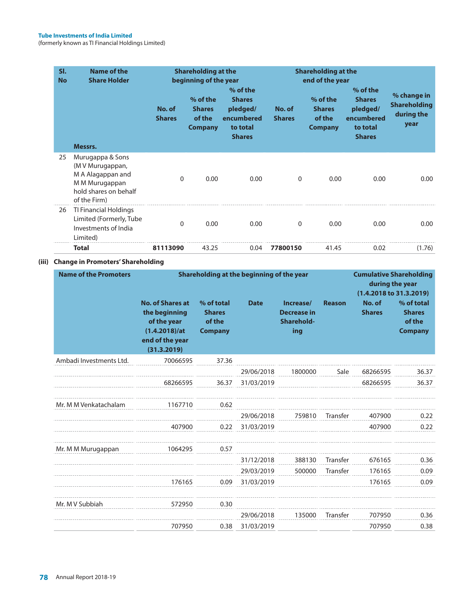| SI.<br><b>No</b> | Name of the<br><b>Share Holder</b>                                                                                   | No. of<br><b>Shares</b> | <b>Shareholding at the</b><br>beginning of the year<br>% of the<br><b>Shares</b><br>of the<br><b>Company</b> | % of the<br><b>Shares</b><br>pledged/<br>encumbered<br>to total<br><b>Shares</b> | No. of<br><b>Shares</b> | <b>Shareholding at the</b><br>end of the year<br>% of the<br><b>Shares</b><br>of the<br><b>Company</b> | % of the<br><b>Shares</b><br>pledged/<br>encumbered<br>to total<br><b>Shares</b> | % change in<br><b>Shareholding</b><br>during the<br>year |
|------------------|----------------------------------------------------------------------------------------------------------------------|-------------------------|--------------------------------------------------------------------------------------------------------------|----------------------------------------------------------------------------------|-------------------------|--------------------------------------------------------------------------------------------------------|----------------------------------------------------------------------------------|----------------------------------------------------------|
|                  | Messrs.                                                                                                              |                         |                                                                                                              |                                                                                  |                         |                                                                                                        |                                                                                  |                                                          |
| 25               | Murugappa & Sons<br>(M V Murugappan,<br>M A Alagappan and<br>M M Murugappan<br>hold shares on behalf<br>of the Firm) | 0                       | 0.00                                                                                                         | 0.00                                                                             | $\Omega$                | 0.00                                                                                                   | 0.00                                                                             | 0.00                                                     |
| 26               | TI Financial Holdings<br>Limited (Formerly, Tube<br>Investments of India<br>Limited)                                 | 0                       | 0.00                                                                                                         | 0.00                                                                             | $\Omega$                | 0.00                                                                                                   | 0.00                                                                             | 0.00                                                     |
|                  | Total                                                                                                                | 81113090                | 43.25                                                                                                        | 0.04                                                                             | 77800150                | 41.45                                                                                                  | 0.02                                                                             | (1.76)                                                   |

### **(iii) Change in Promoters' Shareholding**

| <b>Name of the Promoters</b> | Shareholding at the beginning of the year                                                                  | <b>Cumulative Shareholding</b><br>during the year<br>(1.4.2018 to 31.3.2019) |             |                                                      |               |                         |                                                         |
|------------------------------|------------------------------------------------------------------------------------------------------------|------------------------------------------------------------------------------|-------------|------------------------------------------------------|---------------|-------------------------|---------------------------------------------------------|
|                              | <b>No. of Shares at</b><br>the beginning<br>of the year<br>(1.4.2018)/at<br>end of the year<br>(31.3.2019) | % of total<br><b>Shares</b><br>of the<br><b>Company</b>                      | <b>Date</b> | Increase/<br><b>Decrease in</b><br>Sharehold-<br>ing | <b>Reason</b> | No. of<br><b>Shares</b> | % of total<br><b>Shares</b><br>of the<br><b>Company</b> |
| Ambadi Investments Ltd.      | 70066595                                                                                                   | 37.36                                                                        |             |                                                      |               |                         |                                                         |
|                              |                                                                                                            |                                                                              | 29/06/2018  | 1800000                                              | Sale          | 68266595                | 36.37                                                   |
|                              | 68266595                                                                                                   | 36.37                                                                        | 31/03/2019  |                                                      |               | 68266595                | 36.37                                                   |
| Mr. M M Venkatachalam        | 1167710                                                                                                    | 0.62                                                                         |             |                                                      |               |                         |                                                         |
|                              |                                                                                                            |                                                                              | 29/06/2018  | 759810                                               | Transfer      | 407900                  | 0.22                                                    |
|                              | 407900                                                                                                     | 0.22                                                                         | 31/03/2019  |                                                      |               | 407900                  | 0.22                                                    |
| Mr. M M Murugappan           | 1064295                                                                                                    | 0.57                                                                         |             |                                                      |               |                         |                                                         |
|                              |                                                                                                            |                                                                              | 31/12/2018  | 388130                                               | Transfer      | 676165                  | 0.36                                                    |
|                              |                                                                                                            |                                                                              | 29/03/2019  | 500000                                               | Transfer      | 176165                  | 0.09                                                    |
|                              | 176165                                                                                                     | 0.09                                                                         | 31/03/2019  |                                                      |               | 176165                  | 0.09                                                    |
| Mr. M V Subbiah              | 572950                                                                                                     | 0.30                                                                         |             |                                                      |               |                         |                                                         |
|                              |                                                                                                            |                                                                              | 29/06/2018  | 135000                                               | Transfer      | 707950                  | 0.36                                                    |
|                              | 707950                                                                                                     | 0.38                                                                         | 31/03/2019  |                                                      |               | 707950                  | 0.38                                                    |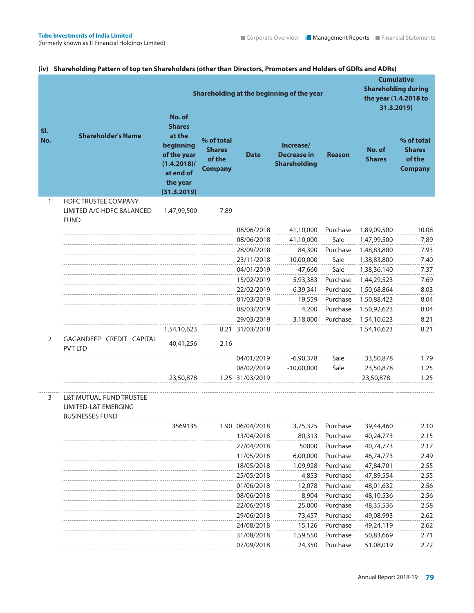|            | (iv) Shareholding Pattern of top ten Shareholders (other than Directors, Promoters and Holders of GDRs and ADRs) |                                                                                                                         |                                                         |                 |                                                        |               |                         |                                                                                        |
|------------|------------------------------------------------------------------------------------------------------------------|-------------------------------------------------------------------------------------------------------------------------|---------------------------------------------------------|-----------------|--------------------------------------------------------|---------------|-------------------------|----------------------------------------------------------------------------------------|
|            |                                                                                                                  |                                                                                                                         |                                                         |                 | Shareholding at the beginning of the year              |               |                         | <b>Cumulative</b><br><b>Shareholding during</b><br>the year (1.4.2018 to<br>31.3.2019) |
| SI.<br>No. | <b>Shareholder's Name</b>                                                                                        | No. of<br><b>Shares</b><br>at the<br>beginning<br>of the year<br>$(1.4.2018)$ /<br>at end of<br>the year<br>(31.3.2019) | % of total<br><b>Shares</b><br>of the<br><b>Company</b> | <b>Date</b>     | Increase/<br><b>Decrease in</b><br><b>Shareholding</b> | <b>Reason</b> | No. of<br><b>Shares</b> | % of total<br><b>Shares</b><br>of the<br><b>Company</b>                                |
| 1          | <b>HDFC TRUSTEE COMPANY</b><br>LIMITED A/C HDFC BALANCED<br><b>FUND</b>                                          | 1,47,99,500                                                                                                             | 7.89                                                    |                 |                                                        |               |                         |                                                                                        |
|            |                                                                                                                  |                                                                                                                         |                                                         | 08/06/2018      | 41,10,000                                              | Purchase      | 1,89,09,500             | 10.08                                                                                  |
|            |                                                                                                                  |                                                                                                                         |                                                         | 08/06/2018      | $-41,10,000$                                           | Sale          | 1,47,99,500             | 7,89                                                                                   |
|            |                                                                                                                  |                                                                                                                         |                                                         | 28/09/2018      | 84,300                                                 | Purchase      | 1,48,83,800             | 7.93                                                                                   |
|            |                                                                                                                  |                                                                                                                         |                                                         | 23/11/2018      | 10,00,000                                              | Sale          | 1,38,83,800             | 7.40                                                                                   |
|            |                                                                                                                  |                                                                                                                         |                                                         | 04/01/2019      | $-47,660$                                              | Sale          | 1,38,36,140             | 7.37                                                                                   |
|            |                                                                                                                  |                                                                                                                         |                                                         | 15/02/2019      | 5,93,383                                               | Purchase      | 1,44,29,523             | 7.69                                                                                   |
|            |                                                                                                                  |                                                                                                                         |                                                         | 22/02/2019      | 6,39,341                                               | Purchase      | 1,50,68,864             | 8.03                                                                                   |
|            |                                                                                                                  |                                                                                                                         |                                                         | 01/03/2019      | 19,559                                                 | Purchase      | 1,50,88,423             | 8.04                                                                                   |
|            |                                                                                                                  |                                                                                                                         |                                                         | 08/03/2019      | 4,200                                                  | Purchase      | 1,50,92,623             | 8.04                                                                                   |
|            |                                                                                                                  |                                                                                                                         |                                                         | 29/03/2019      | 3,18,000                                               | Purchase      | 1,54,10,623             | 8.21                                                                                   |
|            |                                                                                                                  | 1,54,10,623                                                                                                             |                                                         | 8.21 31/03/2018 |                                                        |               | 1,54,10,623             | 8.21                                                                                   |
| 2          | GAGANDEEP CREDIT CAPITAL<br><b>PVT LTD</b>                                                                       | 40,41,256                                                                                                               | 2.16                                                    |                 |                                                        |               |                         |                                                                                        |
|            |                                                                                                                  |                                                                                                                         |                                                         | 04/01/2019      | $-6,90,378$                                            | Sale          | 33,50,878               | 1.79                                                                                   |
|            |                                                                                                                  |                                                                                                                         |                                                         | 08/02/2019      | $-10,00,000$                                           | Sale          | 23,50,878               | 1.25                                                                                   |
|            |                                                                                                                  | 23,50,878                                                                                                               |                                                         | 1.25 31/03/2019 |                                                        |               | 23,50,878               | 1.25                                                                                   |
| 3          | L&T MUTUAL FUND TRUSTEE<br><b>LIMITED-L&amp;T EMERGING</b><br><b>BUSINESSES FUND</b>                             |                                                                                                                         |                                                         |                 |                                                        |               |                         |                                                                                        |
|            |                                                                                                                  | 3569135                                                                                                                 |                                                         | 1.90 06/04/2018 | 3,75,325                                               | Purchase      | 39,44,460               | 2.10                                                                                   |
|            |                                                                                                                  |                                                                                                                         |                                                         | 13/04/2018      | 80,313                                                 | Purchase      | 40,24,773               | 2.15                                                                                   |
|            |                                                                                                                  |                                                                                                                         |                                                         | 27/04/2018      | 50000                                                  | Purchase      | 40,74,773               | 2.17                                                                                   |
|            |                                                                                                                  |                                                                                                                         |                                                         | 11/05/2018      | 6,00,000                                               | Purchase      | 46,74,773               | 2.49                                                                                   |
|            |                                                                                                                  |                                                                                                                         |                                                         | 18/05/2018      | 1,09,928                                               | Purchase      | 47,84,701               | 2.55                                                                                   |
|            |                                                                                                                  |                                                                                                                         |                                                         | 25/05/2018      | 4,853                                                  | Purchase      | 47,89,554               | 2.55                                                                                   |
|            |                                                                                                                  |                                                                                                                         |                                                         | 01/06/2018      | 12,078                                                 | Purchase      | 48,01,632               | 2.56                                                                                   |
|            |                                                                                                                  |                                                                                                                         |                                                         | 08/06/2018      | 8,904                                                  | Purchase      | 48,10,536               | 2.56                                                                                   |
|            |                                                                                                                  |                                                                                                                         |                                                         | 22/06/2018      | 25,000                                                 | Purchase      | 48,35,536               | 2.58                                                                                   |
|            |                                                                                                                  |                                                                                                                         |                                                         | 29/06/2018      | 73,457                                                 | Purchase      | 49,08,993               | 2.62                                                                                   |
|            |                                                                                                                  |                                                                                                                         |                                                         | 24/08/2018      | 15,126                                                 | Purchase      | 49,24,119               | 2.62                                                                                   |
|            |                                                                                                                  |                                                                                                                         |                                                         | 31/08/2018      | 1,59,550                                               | Purchase      | 50,83,669               | 2.71                                                                                   |
|            |                                                                                                                  |                                                                                                                         |                                                         | 07/09/2018      | 24,350                                                 | Purchase      | 51.08,019               | 2.72                                                                                   |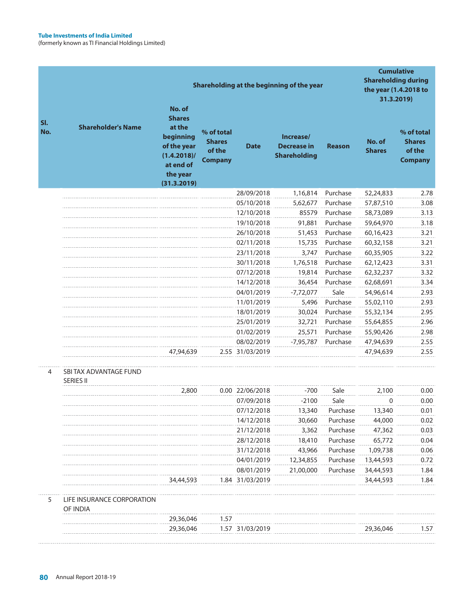|            |                                            | No. of                                                                                                        |                                                         |                 | Shareholding at the beginning of the year              |               | <b>Shareholding during</b><br>the year (1.4.2018 to | <b>Cumulative</b><br>31.3.2019)                         |
|------------|--------------------------------------------|---------------------------------------------------------------------------------------------------------------|---------------------------------------------------------|-----------------|--------------------------------------------------------|---------------|-----------------------------------------------------|---------------------------------------------------------|
| SI.<br>No. | <b>Shareholder's Name</b>                  | <b>Shares</b><br>at the<br>beginning<br>of the year<br>$(1.4.2018)$ /<br>at end of<br>the year<br>(31.3.2019) | % of total<br><b>Shares</b><br>of the<br><b>Company</b> | <b>Date</b>     | Increase/<br><b>Decrease in</b><br><b>Shareholding</b> | <b>Reason</b> | No. of<br><b>Shares</b>                             | % of total<br><b>Shares</b><br>of the<br><b>Company</b> |
|            |                                            |                                                                                                               |                                                         | 28/09/2018      | 1,16,814                                               | Purchase      | 52,24,833                                           | 2.78                                                    |
|            |                                            |                                                                                                               |                                                         | 05/10/2018      | 5,62,677                                               | Purchase      | 57,87,510                                           | 3.08                                                    |
|            |                                            |                                                                                                               |                                                         | 12/10/2018      | 85579                                                  | Purchase      | 58,73,089                                           | 3.13                                                    |
|            |                                            |                                                                                                               |                                                         | 19/10/2018      | 91,881                                                 | Purchase      | 59,64,970                                           | 3.18                                                    |
|            |                                            |                                                                                                               |                                                         | 26/10/2018      | 51,453                                                 | Purchase      | 60,16,423                                           | 3.21                                                    |
|            |                                            |                                                                                                               |                                                         | 02/11/2018      | 15,735                                                 | Purchase      | 60,32,158                                           | 3.21                                                    |
|            |                                            |                                                                                                               |                                                         | 23/11/2018      | 3,747                                                  | Purchase      | 60,35,905                                           | 3.22                                                    |
|            |                                            |                                                                                                               |                                                         | 30/11/2018      | 1,76,518                                               | Purchase      | 62,12,423                                           | 3.31                                                    |
|            |                                            |                                                                                                               |                                                         | 07/12/2018      | 19,814                                                 | Purchase      | 62,32,237                                           | 3.32                                                    |
|            |                                            |                                                                                                               |                                                         | 14/12/2018      | 36,454                                                 | Purchase      | 62,68,691                                           | 3.34                                                    |
|            |                                            |                                                                                                               |                                                         | 04/01/2019      | $-7,72,077$                                            | Sale          | 54,96,614                                           | 2.93                                                    |
|            |                                            |                                                                                                               |                                                         | 11/01/2019      | 5,496                                                  | Purchase      | 55,02,110                                           | 2.93                                                    |
|            |                                            |                                                                                                               |                                                         | 18/01/2019      | 30,024                                                 | Purchase      | 55,32,134                                           | 2.95                                                    |
|            |                                            |                                                                                                               |                                                         | 25/01/2019      | 32,721                                                 | Purchase      | 55,64,855                                           | 2.96                                                    |
|            |                                            |                                                                                                               |                                                         | 01/02/2019      | 25,571                                                 | Purchase      | 55,90,426                                           | 2.98                                                    |
|            |                                            |                                                                                                               |                                                         | 08/02/2019      | $-7,95,787$                                            | Purchase      | 47,94,639                                           | 2.55                                                    |
|            |                                            | 47,94,639                                                                                                     |                                                         | 2.55 31/03/2019 |                                                        |               | 47,94,639                                           | 2.55                                                    |
| 4          | SBI TAX ADVANTAGE FUND<br><b>SERIES II</b> |                                                                                                               |                                                         |                 |                                                        |               |                                                     |                                                         |
|            |                                            | 2,800                                                                                                         |                                                         | 0.00 22/06/2018 | $-700$                                                 | Sale          | 2,100                                               | 0.00                                                    |
|            |                                            |                                                                                                               |                                                         | 07/09/2018      | $-2100$                                                | Sale          | 0                                                   | 0.00                                                    |
|            |                                            |                                                                                                               |                                                         | 07/12/2018      | 13,340                                                 | Purchase      | 13,340                                              | 0.01                                                    |
|            |                                            |                                                                                                               |                                                         | 14/12/2018      | 30,660                                                 | Purchase      | 44,000                                              | 0.02                                                    |
|            |                                            |                                                                                                               |                                                         | 21/12/2018      | 3,362                                                  | Purchase      | 47,362                                              | 0.03                                                    |
|            |                                            |                                                                                                               |                                                         | 28/12/2018      | 18,410                                                 | Purchase      | 65,772                                              | 0.04                                                    |
|            |                                            |                                                                                                               |                                                         | 31/12/2018      | 43,966                                                 | Purchase      | 1,09,738                                            | 0.06                                                    |
|            |                                            |                                                                                                               |                                                         | 04/01/2019      | 12,34,855                                              | Purchase      | 13,44,593                                           | 0.72                                                    |
|            |                                            |                                                                                                               |                                                         | 08/01/2019      | 21,00,000                                              | Purchase      | 34,44,593                                           | 1.84                                                    |
|            |                                            | 34,44,593                                                                                                     |                                                         | 1.84 31/03/2019 |                                                        |               | 34,44,593                                           | 1.84                                                    |
| 5          | LIFE INSURANCE CORPORATION<br>OF INDIA     |                                                                                                               |                                                         |                 |                                                        |               |                                                     |                                                         |
|            |                                            | 29,36,046                                                                                                     | 1.57                                                    |                 |                                                        |               |                                                     |                                                         |
|            |                                            | 29,36,046                                                                                                     |                                                         | 1.57 31/03/2019 |                                                        |               | 29,36,046                                           | 1.57                                                    |
|            |                                            |                                                                                                               |                                                         |                 |                                                        |               |                                                     |                                                         |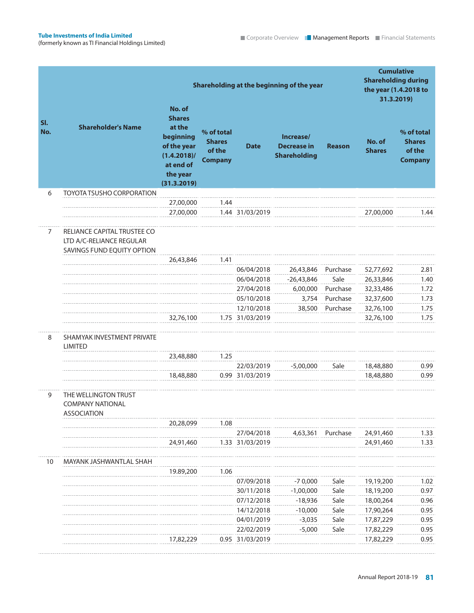|                |                                                                                       | Shareholding at the beginning of the year                                                                               |                                                         | <b>Cumulative</b><br><b>Shareholding during</b><br>the year (1.4.2018 to<br>31.3.2019) |                                                        |               |                         |                                                         |
|----------------|---------------------------------------------------------------------------------------|-------------------------------------------------------------------------------------------------------------------------|---------------------------------------------------------|----------------------------------------------------------------------------------------|--------------------------------------------------------|---------------|-------------------------|---------------------------------------------------------|
| SI.<br>No.     | <b>Shareholder's Name</b>                                                             | No. of<br><b>Shares</b><br>at the<br>beginning<br>of the year<br>$(1.4.2018)$ /<br>at end of<br>the year<br>(31.3.2019) | % of total<br><b>Shares</b><br>of the<br><b>Company</b> | <b>Date</b>                                                                            | Increase/<br><b>Decrease in</b><br><b>Shareholding</b> | <b>Reason</b> | No. of<br><b>Shares</b> | % of total<br><b>Shares</b><br>of the<br><b>Company</b> |
| 6              | <b>TOYOTA TSUSHO CORPORATION</b>                                                      |                                                                                                                         |                                                         |                                                                                        |                                                        |               |                         |                                                         |
|                |                                                                                       | 27,00,000                                                                                                               | 1.44                                                    |                                                                                        |                                                        |               |                         |                                                         |
|                |                                                                                       | 27,00,000                                                                                                               |                                                         | 1.44 31/03/2019                                                                        |                                                        |               | 27,00,000               | 1.44                                                    |
| $\overline{7}$ | RELIANCE CAPITAL TRUSTEE CO<br>LTD A/C-RELIANCE REGULAR<br>SAVINGS FUND EQUITY OPTION |                                                                                                                         |                                                         |                                                                                        |                                                        |               |                         |                                                         |
|                |                                                                                       | 26,43,846                                                                                                               | 1.41                                                    |                                                                                        |                                                        |               |                         |                                                         |
|                |                                                                                       |                                                                                                                         |                                                         | 06/04/2018                                                                             | 26,43,846                                              | Purchase      | 52,77,692               | 2.81                                                    |
|                |                                                                                       |                                                                                                                         |                                                         | 06/04/2018                                                                             | $-26,43,846$                                           | Sale          | 26,33,846               | 1.40                                                    |
|                |                                                                                       |                                                                                                                         |                                                         | 27/04/2018                                                                             | 6,00,000                                               | Purchase      | 32,33,486               | 1.72                                                    |
|                |                                                                                       |                                                                                                                         |                                                         | 05/10/2018                                                                             | 3,754                                                  | Purchase      | 32,37,600               | 1.73                                                    |
|                |                                                                                       |                                                                                                                         |                                                         | 12/10/2018                                                                             | 38,500                                                 | Purchase      | 32,76,100               | 1.75                                                    |
|                |                                                                                       | 32,76,100                                                                                                               |                                                         | 1.75 31/03/2019                                                                        |                                                        |               | 32,76,100               | 1.75                                                    |
| 8              | SHAMYAK INVESTMENT PRIVATE<br><b>LIMITED</b>                                          |                                                                                                                         |                                                         |                                                                                        |                                                        |               |                         |                                                         |
|                |                                                                                       | 23,48,880                                                                                                               | 1.25                                                    |                                                                                        |                                                        |               |                         |                                                         |
|                |                                                                                       |                                                                                                                         |                                                         | 22/03/2019                                                                             | $-5,00,000$                                            | Sale          | 18,48,880               | 0.99                                                    |
|                |                                                                                       | 18,48,880                                                                                                               |                                                         | 0.99 31/03/2019                                                                        |                                                        |               | 18,48,880               | 0.99                                                    |
| 9              | THE WELLINGTON TRUST<br><b>COMPANY NATIONAL</b><br>ASSOCIATION                        |                                                                                                                         |                                                         |                                                                                        |                                                        |               |                         |                                                         |
|                |                                                                                       | 20,28,099                                                                                                               | 1.08                                                    |                                                                                        |                                                        |               |                         |                                                         |
|                |                                                                                       |                                                                                                                         |                                                         | 27/04/2018                                                                             | 4,63,361                                               | Purchase      | 24,91,460               | 1.33                                                    |
|                |                                                                                       | 24,91,460                                                                                                               |                                                         | 1.33 31/03/2019                                                                        |                                                        |               | 24,91,460               | 1.33                                                    |
| 10             | MAYANK JASHWANTLAL SHAH                                                               |                                                                                                                         |                                                         |                                                                                        |                                                        |               |                         |                                                         |
|                |                                                                                       | 19.89,200                                                                                                               | 1.06                                                    |                                                                                        |                                                        |               |                         |                                                         |
|                |                                                                                       |                                                                                                                         |                                                         | 07/09/2018                                                                             | $-70,000$                                              | Sale          | 19,19,200               | 1.02                                                    |
|                |                                                                                       |                                                                                                                         |                                                         | 30/11/2018                                                                             | $-1,00,000$                                            | Sale          | 18,19,200               | 0.97                                                    |
|                |                                                                                       |                                                                                                                         |                                                         | 07/12/2018                                                                             | $-18,936$                                              | Sale          | 18,00,264               | 0.96                                                    |
|                |                                                                                       |                                                                                                                         |                                                         | 14/12/2018                                                                             | $-10,000$                                              | Sale          | 17,90,264               | 0.95                                                    |
|                |                                                                                       |                                                                                                                         |                                                         | 04/01/2019<br>22/02/2019                                                               | $-3,035$<br>$-5,000$                                   | Sale<br>Sale  | 17,87,229<br>17,82,229  | 0.95<br>0.95                                            |
|                |                                                                                       | 17,82,229                                                                                                               |                                                         | 0.95 31/03/2019                                                                        |                                                        |               | 17,82,229               | 0.95                                                    |
|                |                                                                                       |                                                                                                                         |                                                         |                                                                                        |                                                        |               |                         |                                                         |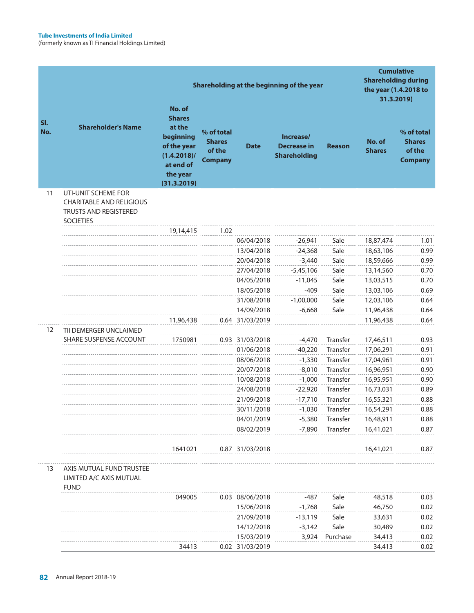|            |                                                                                                            | Shareholding at the beginning of the year                                                                               |                                                         |                 |                                                        | <b>Cumulative</b><br><b>Shareholding during</b><br>the year (1.4.2018 to<br>31.3.2019) |                         |                                                         |
|------------|------------------------------------------------------------------------------------------------------------|-------------------------------------------------------------------------------------------------------------------------|---------------------------------------------------------|-----------------|--------------------------------------------------------|----------------------------------------------------------------------------------------|-------------------------|---------------------------------------------------------|
| SI.<br>No. | <b>Shareholder's Name</b>                                                                                  | No. of<br><b>Shares</b><br>at the<br>beginning<br>of the year<br>$(1.4.2018)$ /<br>at end of<br>the year<br>(31.3.2019) | % of total<br><b>Shares</b><br>of the<br><b>Company</b> | <b>Date</b>     | Increase/<br><b>Decrease in</b><br><b>Shareholding</b> | <b>Reason</b>                                                                          | No. of<br><b>Shares</b> | % of total<br><b>Shares</b><br>of the<br><b>Company</b> |
| 11         | UTI-UNIT SCHEME FOR<br><b>CHARITABLE AND RELIGIOUS</b><br><b>TRUSTS AND REGISTERED</b><br><b>SOCIETIES</b> |                                                                                                                         |                                                         |                 |                                                        |                                                                                        |                         |                                                         |
|            |                                                                                                            | 19,14,415                                                                                                               | 1.02                                                    |                 |                                                        |                                                                                        |                         |                                                         |
|            |                                                                                                            |                                                                                                                         |                                                         | 06/04/2018      | $-26,941$                                              | Sale                                                                                   | 18,87,474               | 1.01                                                    |
|            |                                                                                                            |                                                                                                                         |                                                         | 13/04/2018      | $-24,368$                                              | Sale                                                                                   | 18,63,106               | 0.99                                                    |
|            |                                                                                                            |                                                                                                                         |                                                         | 20/04/2018      | $-3,440$                                               | Sale                                                                                   | 18,59,666               | 0.99                                                    |
|            |                                                                                                            |                                                                                                                         |                                                         | 27/04/2018      | $-5,45,106$                                            | Sale                                                                                   | 13,14,560               | 0.70                                                    |
|            |                                                                                                            |                                                                                                                         |                                                         | 04/05/2018      | $-11,045$                                              | Sale                                                                                   | 13,03,515               | 0.70                                                    |
|            |                                                                                                            |                                                                                                                         |                                                         | 18/05/2018      | $-409$                                                 | Sale                                                                                   | 13,03,106               | 0.69                                                    |
|            |                                                                                                            |                                                                                                                         |                                                         | 31/08/2018      | $-1,00,000$                                            | Sale                                                                                   | 12,03,106               | 0.64                                                    |
|            |                                                                                                            |                                                                                                                         |                                                         | 14/09/2018      | $-6,668$                                               | Sale                                                                                   | 11,96,438               | 0.64                                                    |
|            |                                                                                                            | 11,96,438                                                                                                               |                                                         | 0.64 31/03/2019 |                                                        |                                                                                        | 11,96,438               | 0.64                                                    |
| 12         | TII DEMERGER UNCLAIMED                                                                                     |                                                                                                                         |                                                         |                 |                                                        |                                                                                        |                         |                                                         |
|            | SHARE SUSPENSE ACCOUNT                                                                                     | 1750981                                                                                                                 |                                                         | 0.93 31/03/2018 | $-4,470$                                               | Transfer                                                                               | 17,46,511               | 0.93                                                    |
|            |                                                                                                            |                                                                                                                         |                                                         | 01/06/2018      | $-40,220$                                              | Transfer                                                                               | 17,06,291               | 0.91                                                    |
|            |                                                                                                            |                                                                                                                         |                                                         | 08/06/2018      | $-1,330$                                               | Transfer                                                                               | 17,04,961               | 0.91                                                    |
|            |                                                                                                            |                                                                                                                         |                                                         | 20/07/2018      | $-8,010$                                               | Transfer                                                                               | 16,96,951               | 0.90                                                    |
|            |                                                                                                            |                                                                                                                         |                                                         | 10/08/2018      | $-1,000$                                               | Transfer                                                                               | 16,95,951               | 0.90                                                    |
|            |                                                                                                            |                                                                                                                         |                                                         | 24/08/2018      | $-22,920$                                              | Transfer                                                                               | 16,73,031               | 0.89                                                    |
|            |                                                                                                            |                                                                                                                         |                                                         | 21/09/2018      | $-17,710$                                              | <b>Transfer</b>                                                                        | 16,55,321               | 0.88                                                    |
|            |                                                                                                            |                                                                                                                         |                                                         | 30/11/2018      | $-1,030$                                               | Transfer                                                                               | 16,54,291               | 0.88                                                    |
|            |                                                                                                            |                                                                                                                         |                                                         | 04/01/2019      | $-5,380$                                               | Transfer                                                                               | 16,48,911               | 0.88                                                    |
|            |                                                                                                            |                                                                                                                         |                                                         | 08/02/2019      | $-7,890$                                               | Transfer                                                                               | 16,41,021               | 0.87                                                    |
|            |                                                                                                            |                                                                                                                         |                                                         |                 |                                                        |                                                                                        |                         |                                                         |
|            |                                                                                                            | 1641021                                                                                                                 |                                                         | 0.87 31/03/2018 |                                                        |                                                                                        | 16,41,021               | 0.87                                                    |
| 13         | AXIS MUTUAL FUND TRUSTEE<br>LIMITED A/C AXIS MUTUAL<br><b>FUND</b>                                         |                                                                                                                         |                                                         |                 |                                                        |                                                                                        |                         |                                                         |
|            |                                                                                                            | 049005                                                                                                                  |                                                         | 0.03 08/06/2018 | -487                                                   | Sale                                                                                   | 48,518                  | 0.03                                                    |
|            |                                                                                                            |                                                                                                                         |                                                         | 15/06/2018      | $-1,768$                                               | Sale                                                                                   | 46,750                  | 0.02                                                    |
|            |                                                                                                            |                                                                                                                         |                                                         | 21/09/2018      | $-13,119$                                              | Sale                                                                                   | 33,631                  | 0.02                                                    |
|            |                                                                                                            |                                                                                                                         |                                                         | 14/12/2018      | $-3,142$                                               | Sale                                                                                   | 30,489                  | 0.02                                                    |
|            |                                                                                                            |                                                                                                                         |                                                         | 15/03/2019      | 3,924                                                  | Purchase                                                                               | 34,413                  | 0.02                                                    |
|            |                                                                                                            | 34413                                                                                                                   |                                                         | 0.02 31/03/2019 |                                                        |                                                                                        | 34,413                  | 0.02                                                    |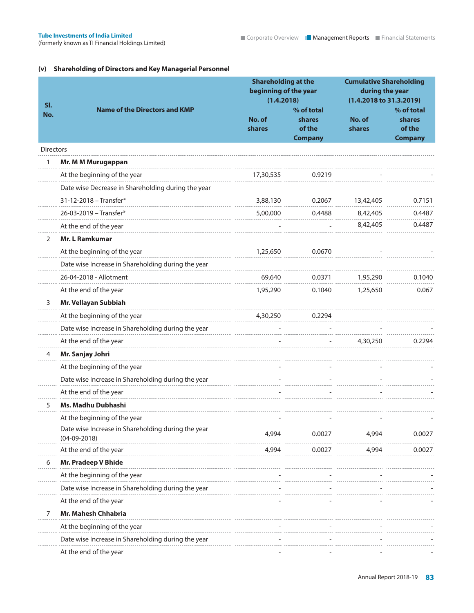### **(v) Shareholding of Directors and Key Managerial Personnel**

| SI.              |                                                                      | <b>Shareholding at the</b><br>beginning of the year<br>(1.4.2018) |                                                         | <b>Cumulative Shareholding</b><br>during the year<br>(1.4.2018 to 31.3.2019) |                                                         |
|------------------|----------------------------------------------------------------------|-------------------------------------------------------------------|---------------------------------------------------------|------------------------------------------------------------------------------|---------------------------------------------------------|
| No.              | <b>Name of the Directors and KMP</b>                                 | No. of<br>shares                                                  | % of total<br><b>shares</b><br>of the<br><b>Company</b> | No. of<br><b>shares</b>                                                      | % of total<br><b>shares</b><br>of the<br><b>Company</b> |
| <b>Directors</b> |                                                                      |                                                                   |                                                         |                                                                              |                                                         |
|                  | Mr. M M Murugappan                                                   |                                                                   |                                                         |                                                                              |                                                         |
|                  | At the beginning of the year                                         | 17,30,535                                                         | 0.9219                                                  |                                                                              |                                                         |
|                  | Date wise Decrease in Shareholding during the year                   |                                                                   |                                                         |                                                                              |                                                         |
|                  | 31-12-2018 - Transfer*                                               | 3,88,130                                                          | 0.2067                                                  | 13,42,405                                                                    | 0.7151                                                  |
|                  | 26-03-2019 - Transfer*                                               | 5,00,000                                                          | 0.4488                                                  | 8,42,405                                                                     | 0.4487                                                  |
|                  | At the end of the year                                               |                                                                   |                                                         | 8,42,405                                                                     | 0.4487                                                  |
| 2                | <b>Mr. L Ramkumar</b>                                                |                                                                   |                                                         |                                                                              |                                                         |
|                  | At the beginning of the year                                         | 1,25,650                                                          | 0.0670                                                  |                                                                              |                                                         |
|                  | Date wise Increase in Shareholding during the year                   |                                                                   |                                                         |                                                                              |                                                         |
|                  | 26-04-2018 - Allotment                                               | 69,640                                                            | 0.0371                                                  | 1,95,290                                                                     | 0.1040                                                  |
|                  | At the end of the year                                               | 1,95,290                                                          | 0.1040                                                  | 1,25,650                                                                     | 0.067                                                   |
| 3                | Mr. Vellayan Subbiah                                                 |                                                                   |                                                         |                                                                              |                                                         |
|                  | At the beginning of the year                                         | 4,30,250                                                          | 0.2294                                                  |                                                                              |                                                         |
|                  | Date wise Increase in Shareholding during the year                   |                                                                   |                                                         |                                                                              |                                                         |
|                  | At the end of the year                                               |                                                                   |                                                         | 4,30,250                                                                     | 0.2294                                                  |
| 4                | Mr. Sanjay Johri                                                     |                                                                   |                                                         |                                                                              |                                                         |
|                  | At the beginning of the year                                         |                                                                   |                                                         |                                                                              |                                                         |
|                  | Date wise Increase in Shareholding during the year                   |                                                                   |                                                         |                                                                              |                                                         |
|                  | At the end of the year                                               |                                                                   |                                                         |                                                                              |                                                         |
| 5                | Ms. Madhu Dubhashi                                                   |                                                                   |                                                         |                                                                              |                                                         |
|                  | At the beginning of the year                                         |                                                                   |                                                         |                                                                              |                                                         |
|                  | Date wise Increase in Shareholding during the year<br>$(04-09-2018)$ | 4,994                                                             | 0.0027                                                  | 4,994                                                                        | 0.0027                                                  |
|                  | At the end of the year                                               | 4,994                                                             | 0.0027                                                  | 4,994                                                                        | 0.0027                                                  |
| 6                | Mr. Pradeep V Bhide                                                  |                                                                   |                                                         |                                                                              |                                                         |
|                  | At the beginning of the year                                         |                                                                   |                                                         |                                                                              |                                                         |
|                  | Date wise Increase in Shareholding during the year                   |                                                                   |                                                         |                                                                              |                                                         |
|                  | At the end of the year                                               |                                                                   |                                                         |                                                                              |                                                         |
|                  | Mr. Mahesh Chhabria                                                  |                                                                   |                                                         |                                                                              |                                                         |
|                  | At the beginning of the year                                         |                                                                   |                                                         |                                                                              |                                                         |
|                  | Date wise Increase in Shareholding during the year                   |                                                                   |                                                         |                                                                              |                                                         |
|                  | At the end of the year                                               |                                                                   |                                                         |                                                                              |                                                         |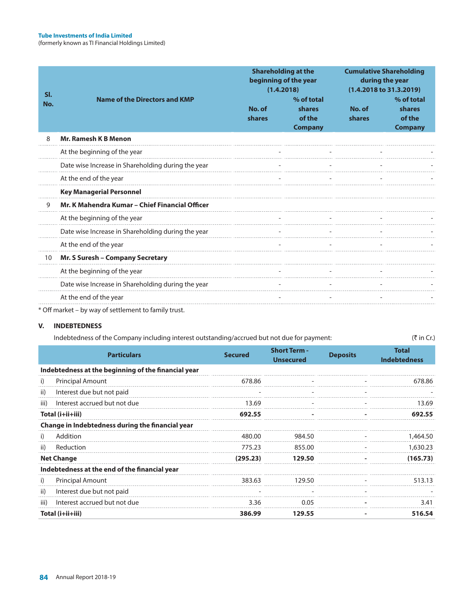| SI.<br>No. | <b>Name of the Directors and KMP</b>                 | No. of<br>shares | <b>Shareholding at the</b><br>beginning of the year<br>(1.4.2018)<br>% of total<br>shares<br>of the<br><b>Company</b> | No. of<br><b>shares</b> | <b>Cumulative Shareholding</b><br>during the year<br>(1.4.2018 to 31.3.2019)<br>% of total<br>shares<br>of the<br><b>Company</b> |
|------------|------------------------------------------------------|------------------|-----------------------------------------------------------------------------------------------------------------------|-------------------------|----------------------------------------------------------------------------------------------------------------------------------|
| 8          | <b>Mr. Ramesh K B Menon</b>                          |                  |                                                                                                                       |                         |                                                                                                                                  |
|            | At the beginning of the year                         |                  |                                                                                                                       |                         |                                                                                                                                  |
|            | Date wise Increase in Shareholding during the year   |                  |                                                                                                                       |                         |                                                                                                                                  |
|            | At the end of the year                               |                  |                                                                                                                       |                         |                                                                                                                                  |
|            | <b>Key Managerial Personnel</b>                      |                  |                                                                                                                       |                         |                                                                                                                                  |
| 9          | Mr. K Mahendra Kumar - Chief Financial Officer       |                  |                                                                                                                       |                         |                                                                                                                                  |
|            | At the beginning of the year                         |                  |                                                                                                                       |                         |                                                                                                                                  |
|            | Date wise Increase in Shareholding during the year   |                  |                                                                                                                       |                         |                                                                                                                                  |
|            | At the end of the year                               |                  |                                                                                                                       |                         |                                                                                                                                  |
| 10         | Mr. S Suresh - Company Secretary                     |                  |                                                                                                                       |                         |                                                                                                                                  |
|            | At the beginning of the year                         |                  |                                                                                                                       |                         |                                                                                                                                  |
|            | Date wise Increase in Shareholding during the year   |                  |                                                                                                                       |                         |                                                                                                                                  |
|            | At the end of the year                               |                  |                                                                                                                       |                         |                                                                                                                                  |
|            | * Off market - by way of settlement to family trust. |                  |                                                                                                                       |                         |                                                                                                                                  |

### **V. INDEBTEDNESS**

| Indebtedness of the Company including interest outstanding/accrued but not due for payment: | (₹ in Cr.) |
|---------------------------------------------------------------------------------------------|------------|
|                                                                                             |            |

|      | <b>Particulars</b>                                  | <b>Secured</b> | <b>Short Term -</b><br><b>Unsecured</b> | <b>Deposits</b> | <b>Total</b><br><b>Indebtedness</b> |
|------|-----------------------------------------------------|----------------|-----------------------------------------|-----------------|-------------------------------------|
|      | Indebtedness at the beginning of the financial year |                |                                         |                 |                                     |
| i)   | <b>Principal Amount</b>                             | 678.86         |                                         |                 | 678.86                              |
| ii)  | Interest due but not paid                           |                |                                         |                 |                                     |
| iii) | Interest accrued but not due                        | 13.69          |                                         |                 | 13.69                               |
|      | Total (i+ii+iii)                                    | 692.55         |                                         |                 | 692.55                              |
|      | Change in Indebtedness during the financial year    |                |                                         |                 |                                     |
| i)   | Addition                                            | 480.00         | 984.50                                  |                 | 1,464.50                            |
| ii)  | Reduction                                           | 775.23         | 855.00                                  |                 | 1,630.23                            |
|      | <b>Net Change</b>                                   | (295.23)       | 129.50                                  |                 | (165.73)                            |
|      | Indebtedness at the end of the financial year       |                |                                         |                 |                                     |
| i)   | <b>Principal Amount</b>                             | 383.63         | 129.50                                  |                 | 513.13                              |
| ii)  | Interest due but not paid                           |                |                                         |                 |                                     |
| iii) | Interest accrued but not due                        | 3.36           | 0.05                                    |                 | 3.41                                |
|      | Total (i+ii+iii)                                    | 386.99         | 129.55                                  |                 | 516.54                              |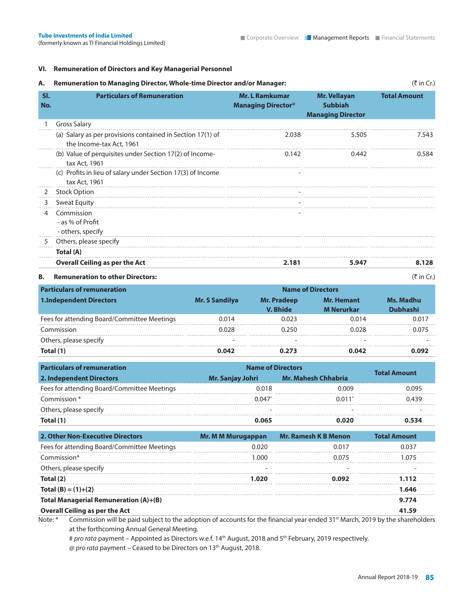### **VI. Remuneration of Directors and Key Managerial Personnel**

### A. Remuneration to Managing Director, Whole-time Director and/or Manager: ( $\bar{z}$  in Cr.)

| SI.<br>No. | <b>Particulars of Remuneration</b>                                                     | <b>Mr. L Ramkumar</b><br><b>Managing Director®</b> | <b>Mr. Vellayan</b><br><b>Subbiah</b><br><b>Managing Director</b> | <b>Total Amount</b> |
|------------|----------------------------------------------------------------------------------------|----------------------------------------------------|-------------------------------------------------------------------|---------------------|
|            | <b>Gross Salary</b>                                                                    |                                                    |                                                                   |                     |
|            | (a) Salary as per provisions contained in Section 17(1) of<br>the Income-tax Act, 1961 | 2.038                                              | 5.505                                                             | 7.543               |
|            | (b) Value of perquisites under Section 17(2) of Income-<br>tax Act, 1961               | 0.142                                              | 0.442                                                             | 0.584               |
|            | (c) Profits in lieu of salary under Section 17(3) of Income<br>tax Act, 1961           |                                                    |                                                                   |                     |
| 2          | <b>Stock Option</b>                                                                    |                                                    |                                                                   |                     |
| 3          | <b>Sweat Equity</b>                                                                    |                                                    |                                                                   |                     |
| 4          | Commission<br>- as $%$ of Profit<br>- others, specify                                  |                                                    |                                                                   |                     |
| 5          | Others, please specify                                                                 |                                                    |                                                                   |                     |
|            | Total (A)                                                                              |                                                    |                                                                   |                     |
|            | <b>Overall Ceiling as per the Act</b>                                                  | 2.181                                              | 5.947                                                             | 8.128               |

(for  $\mathbf{f}$  Financial Holdings Limited) Corporate Overview Management Reports Financial Statements Financial Statements Financial Statements Financial Statements Financial Statements Financial Statements Financial State

### **B.** Remuneration to other Directors:  $(\vec{\tau} \text{ in Cr.})$

| <b>Particulars of remuneration</b>          |                       |                                       |                                        |                              |
|---------------------------------------------|-----------------------|---------------------------------------|----------------------------------------|------------------------------|
| <b>1.Independent Directors</b>              | <b>Mr. S Sandilya</b> | <b>Mr. Pradeep</b><br><b>V. Bhide</b> | <b>Mr. Hemant</b><br><b>M</b> Nerurkar | Ms. Madhu<br><b>Dubhashi</b> |
| Fees for attending Board/Committee Meetings | 0.014                 | 0.023                                 | 0.014                                  | 0.017                        |
| Commission                                  | 0.028                 |                                       | 0.028                                  | 0.075                        |
| Others, please specify                      |                       |                                       |                                        |                              |
| Total (1)                                   | 0.042                 | 0.273                                 | 0.042                                  | በ በዓን                        |

| <b>Particulars of remuneration</b>          | <b>Name of Directors</b> | <b>Total Amount</b> |       |  |
|---------------------------------------------|--------------------------|---------------------|-------|--|
| 2. Independent Directors                    | Mr. Sanjay Johri         | Mr. Mahesh Chhabria |       |  |
| Fees for attending Board/Committee Meetings | 0.018                    | 0.009               | 0.095 |  |
| Commission *                                | 0.047                    | 0.011               | 0.439 |  |
| Others, please specify                      |                          |                     |       |  |
| Total (1)                                   | 0.065                    | Ი.ᲘᲔᲘ               | 0 534 |  |

| Mr. M M Murugappan | <b>Mr. Ramesh K B Menon</b> | <b>Total Amount</b>                                                                                                                     |
|--------------------|-----------------------------|-----------------------------------------------------------------------------------------------------------------------------------------|
| 0.020              | 0.017                       | 0.037                                                                                                                                   |
| 1.000              | 0.075                       | 1.075                                                                                                                                   |
|                    |                             |                                                                                                                                         |
| 1.020              | 0.092                       | 1.112                                                                                                                                   |
|                    |                             | 1.646                                                                                                                                   |
|                    |                             | 9.774                                                                                                                                   |
|                    |                             | 41.59                                                                                                                                   |
|                    |                             | Note: * Commission will be paid subject to the adoption of assessments for the financial vear anded 21st March 2010 by the shareholders |

Note: \* Commission will be paid subject to the adoption of accounts for the financial year ended 31<sup>st</sup> March, 2019 by the shareholders at the forthcoming Annual General Meeting.

# pro rata payment – Appointed as Directors w.e.f. 14<sup>th</sup> August, 2018 and 5<sup>th</sup> February, 2019 respectively. @ pro rata payment - Ceased to be Directors on 13<sup>th</sup> August, 2018.